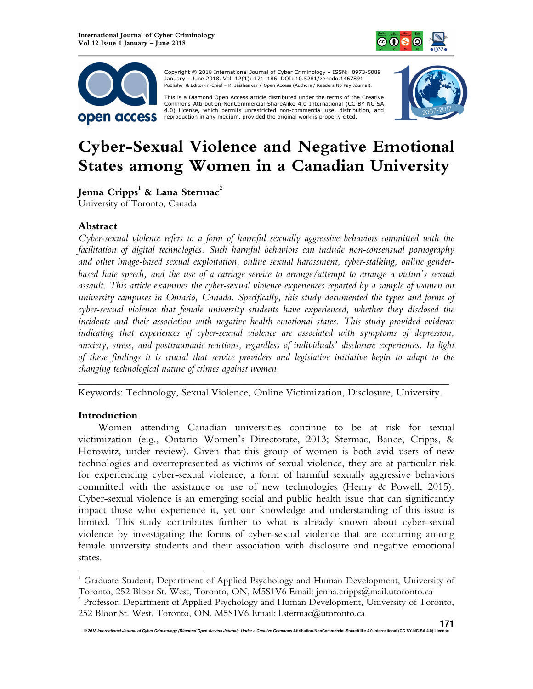



 Copyright © 2018 International Journal of Cyber Criminology – ISSN: 0973-5089 January – June 2018. Vol. 12(1): 171–186. DOI: 10.5281/zenodo.1467891 Publisher & Editor-in-Chief – K. Jaishankar / Open Access (Authors / Readers No Pay Journal).

This is a Diamond Open Access article distributed under the terms of the Creative<br>Commons Attribution-NonCommercial-ShareAlike 4.0 International (CC-BY-NC-SA 4.0) License, which permits unrestricted non-commercial use, distribution, and reproduction in any medium, provided the original work is properly cited.



# **Cyber-Sexual Violence and Negative Emotional States among Women in a Canadian University**

**Jenna Cripps<sup>1</sup> & Lana Stermac<sup>2</sup>**

University of Toronto, Canada

# **Abstract**

*Cyber-sexual violence refers to a form of harmful sexually aggressive behaviors committed with the facilitation of digital technologies. Such harmful behaviors can include non-consensual pornography and other image-based sexual exploitation, online sexual harassment, cyber-stalking, online genderbased hate speech, and the use of a carriage service to arrange/attempt to arrange a victim's sexual assault. This article examines the cyber-sexual violence experiences reported by a sample of women on university campuses in Ontario, Canada. Specifically, this study documented the types and forms of cyber-sexual violence that female university students have experienced, whether they disclosed the incidents and their association with negative health emotional states. This study provided evidence indicating that experiences of cyber-sexual violence are associated with symptoms of depression, anxiety, stress, and posttraumatic reactions, regardless of individuals' disclosure experiences. In light of these findings it is crucial that service providers and legislative initiative begin to adapt to the changing technological nature of crimes against women.*

*\_\_\_\_\_\_\_\_\_\_\_\_\_\_\_\_\_\_\_\_\_\_\_\_\_\_\_\_\_\_\_\_\_\_\_\_\_\_\_\_\_\_\_\_\_\_\_\_\_\_\_\_\_\_\_\_\_\_\_\_\_\_\_\_\_\_\_\_\_\_\_*  Keywords: Technology, Sexual Violence, Online Victimization, Disclosure, University.

# **Introduction**

 $\overline{a}$ 

Women attending Canadian universities continue to be at risk for sexual victimization (e.g., Ontario Women's Directorate, 2013; Stermac, Bance, Cripps, & Horowitz, under review). Given that this group of women is both avid users of new technologies and overrepresented as victims of sexual violence, they are at particular risk for experiencing cyber-sexual violence, a form of harmful sexually aggressive behaviors committed with the assistance or use of new technologies (Henry & Powell, 2015). Cyber-sexual violence is an emerging social and public health issue that can significantly impact those who experience it, yet our knowledge and understanding of this issue is limited. This study contributes further to what is already known about cyber-sexual violence by investigating the forms of cyber-sexual violence that are occurring among female university students and their association with disclosure and negative emotional states.

<sup>&</sup>lt;sup>1</sup> Graduate Student, Department of Applied Psychology and Human Development, University of Toronto, 252 Bloor St. West, Toronto, ON, M5S1V6 Email: jenna.cripps@mail.utoronto.ca

 $2^2$  Professor, Department of Applied Psychology and Human Development, University of Toronto, 252 Bloor St. West, Toronto, ON, M5S1V6 Email: l.stermac@utoronto.ca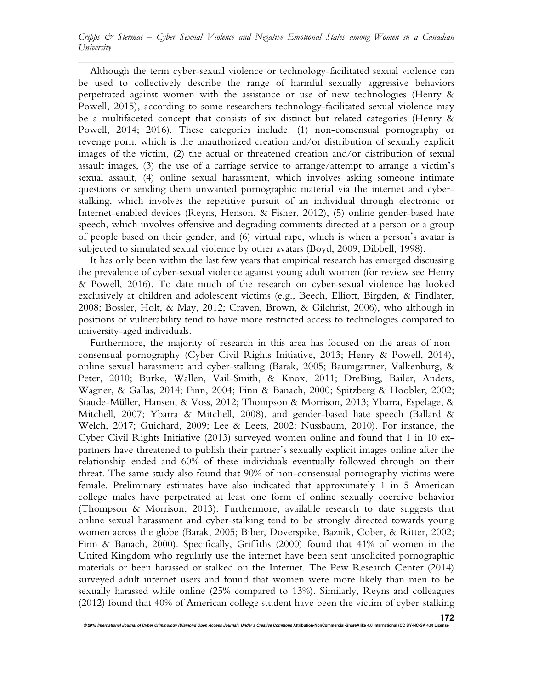Although the term cyber-sexual violence or technology-facilitated sexual violence can be used to collectively describe the range of harmful sexually aggressive behaviors perpetrated against women with the assistance or use of new technologies (Henry & Powell, 2015), according to some researchers technology-facilitated sexual violence may be a multifaceted concept that consists of six distinct but related categories (Henry & Powell, 2014; 2016). These categories include: (1) non-consensual pornography or revenge porn, which is the unauthorized creation and/or distribution of sexually explicit images of the victim, (2) the actual or threatened creation and/or distribution of sexual assault images, (3) the use of a carriage service to arrange/attempt to arrange a victim's sexual assault, (4) online sexual harassment, which involves asking someone intimate questions or sending them unwanted pornographic material via the internet and cyberstalking, which involves the repetitive pursuit of an individual through electronic or Internet-enabled devices (Reyns, Henson, & Fisher, 2012), (5) online gender-based hate speech, which involves offensive and degrading comments directed at a person or a group of people based on their gender, and (6) virtual rape, which is when a person's avatar is subjected to simulated sexual violence by other avatars (Boyd, 2009; Dibbell, 1998).

It has only been within the last few years that empirical research has emerged discussing the prevalence of cyber-sexual violence against young adult women (for review see Henry & Powell, 2016). To date much of the research on cyber-sexual violence has looked exclusively at children and adolescent victims (e.g., Beech, Elliott, Birgden, & Findlater, 2008; Bossler, Holt, & May, 2012; Craven, Brown, & Gilchrist, 2006), who although in positions of vulnerability tend to have more restricted access to technologies compared to university-aged individuals.

Furthermore, the majority of research in this area has focused on the areas of nonconsensual pornography (Cyber Civil Rights Initiative, 2013; Henry & Powell, 2014), online sexual harassment and cyber-stalking (Barak, 2005; Baumgartner, Valkenburg, & Peter, 2010; Burke, Wallen, Vail-Smith, & Knox, 2011; DreBing, Bailer, Anders, Wagner, & Gallas, 2014; Finn, 2004; Finn & Banach, 2000; Spitzberg & Hoobler, 2002; Staude-Müller, Hansen, & Voss, 2012; Thompson & Morrison, 2013; Ybarra, Espelage, & Mitchell, 2007; Ybarra & Mitchell, 2008), and gender-based hate speech (Ballard & Welch, 2017; Guichard, 2009; Lee & Leets, 2002; Nussbaum, 2010). For instance, the Cyber Civil Rights Initiative (2013) surveyed women online and found that 1 in 10 expartners have threatened to publish their partner's sexually explicit images online after the relationship ended and 60% of these individuals eventually followed through on their threat. The same study also found that 90% of non-consensual pornography victims were female. Preliminary estimates have also indicated that approximately 1 in 5 American college males have perpetrated at least one form of online sexually coercive behavior (Thompson & Morrison, 2013). Furthermore, available research to date suggests that online sexual harassment and cyber-stalking tend to be strongly directed towards young women across the globe (Barak, 2005; Biber, Doverspike, Baznik, Cober, & Ritter, 2002; Finn & Banach, 2000). Specifically, Griffiths (2000) found that 41% of women in the United Kingdom who regularly use the internet have been sent unsolicited pornographic materials or been harassed or stalked on the Internet. The Pew Research Center (2014) surveyed adult internet users and found that women were more likely than men to be sexually harassed while online (25% compared to 13%). Similarly, Reyns and colleagues (2012) found that 40% of American college student have been the victim of cyber-stalking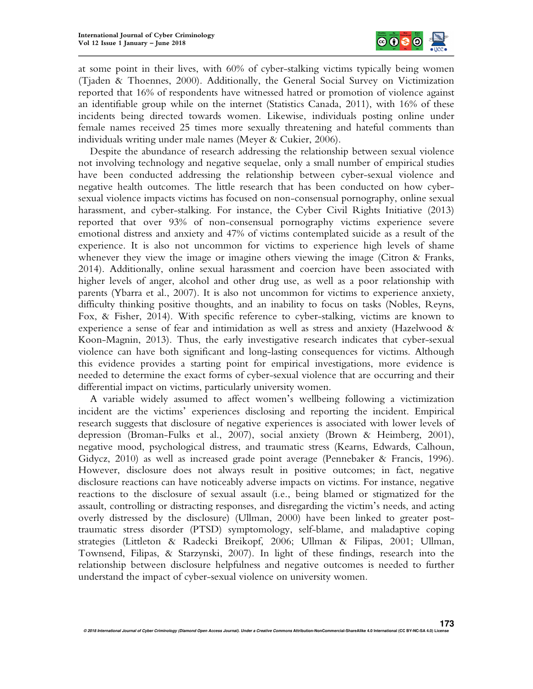

at some point in their lives, with 60% of cyber-stalking victims typically being women (Tjaden & Thoennes, 2000). Additionally, the General Social Survey on Victimization reported that 16% of respondents have witnessed hatred or promotion of violence against an identifiable group while on the internet (Statistics Canada, 2011), with 16% of these incidents being directed towards women. Likewise, individuals posting online under female names received 25 times more sexually threatening and hateful comments than individuals writing under male names (Meyer & Cukier, 2006).

Despite the abundance of research addressing the relationship between sexual violence not involving technology and negative sequelae, only a small number of empirical studies have been conducted addressing the relationship between cyber-sexual violence and negative health outcomes. The little research that has been conducted on how cybersexual violence impacts victims has focused on non-consensual pornography, online sexual harassment, and cyber-stalking. For instance, the Cyber Civil Rights Initiative (2013) reported that over 93% of non-consensual pornography victims experience severe emotional distress and anxiety and 47% of victims contemplated suicide as a result of the experience. It is also not uncommon for victims to experience high levels of shame whenever they view the image or imagine others viewing the image (Citron & Franks, 2014). Additionally, online sexual harassment and coercion have been associated with higher levels of anger, alcohol and other drug use, as well as a poor relationship with parents (Ybarra et al., 2007). It is also not uncommon for victims to experience anxiety, difficulty thinking positive thoughts, and an inability to focus on tasks (Nobles, Reyns, Fox, & Fisher, 2014). With specific reference to cyber-stalking, victims are known to experience a sense of fear and intimidation as well as stress and anxiety (Hazelwood & Koon-Magnin, 2013). Thus, the early investigative research indicates that cyber-sexual violence can have both significant and long-lasting consequences for victims. Although this evidence provides a starting point for empirical investigations, more evidence is needed to determine the exact forms of cyber-sexual violence that are occurring and their differential impact on victims, particularly university women.

A variable widely assumed to affect women's wellbeing following a victimization incident are the victims' experiences disclosing and reporting the incident. Empirical research suggests that disclosure of negative experiences is associated with lower levels of depression (Broman-Fulks et al., 2007), social anxiety (Brown & Heimberg, 2001), negative mood, psychological distress, and traumatic stress (Kearns, Edwards, Calhoun, Gidycz, 2010) as well as increased grade point average (Pennebaker & Francis, 1996). However, disclosure does not always result in positive outcomes; in fact, negative disclosure reactions can have noticeably adverse impacts on victims. For instance, negative reactions to the disclosure of sexual assault (i.e., being blamed or stigmatized for the assault, controlling or distracting responses, and disregarding the victim's needs, and acting overly distressed by the disclosure) (Ullman, 2000) have been linked to greater posttraumatic stress disorder (PTSD) symptomology, self-blame, and maladaptive coping strategies (Littleton & Radecki Breikopf, 2006; Ullman & Filipas, 2001; Ullman, Townsend, Filipas, & Starzynski, 2007). In light of these findings, research into the relationship between disclosure helpfulness and negative outcomes is needed to further understand the impact of cyber-sexual violence on university women.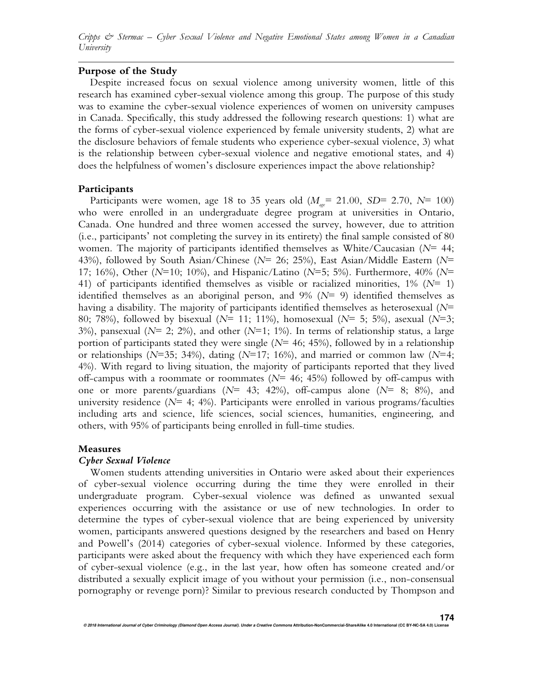# **Purpose of the Study**

Despite increased focus on sexual violence among university women, little of this research has examined cyber-sexual violence among this group. The purpose of this study was to examine the cyber-sexual violence experiences of women on university campuses in Canada. Specifically, this study addressed the following research questions: 1) what are the forms of cyber-sexual violence experienced by female university students, 2) what are the disclosure behaviors of female students who experience cyber-sexual violence, 3) what is the relationship between cyber-sexual violence and negative emotional states, and 4) does the helpfulness of women's disclosure experiences impact the above relationship?

#### **Participants**

Participants were women, age 18 to 35 years old  $(M_{\text{age}} = 21.00, SD = 2.70, N = 100)$ who were enrolled in an undergraduate degree program at universities in Ontario, Canada. One hundred and three women accessed the survey, however, due to attrition (i.e., participants' not completing the survey in its entirety) the final sample consisted of 80 women. The majority of participants identified themselves as White/Caucasian (*N*= 44; 43%), followed by South Asian/Chinese (*N*= 26; 25%), East Asian/Middle Eastern (*N*= 17; 16%), Other (*N*=10; 10%), and Hispanic/Latino (*N*=5; 5%). Furthermore, 40% (*N*= 41) of participants identified themselves as visible or racialized minorities,  $1\%$  ( $N=1$ ) identified themselves as an aboriginal person, and 9% (*N*= 9) identified themselves as having a disability. The majority of participants identified themselves as heterosexual (*N*= 80; 78%), followed by bisexual (*N*= 11; 11%), homosexual (*N*= 5; 5%), asexual (*N*=3; 3%), pansexual ( $N=$  2; 2%), and other ( $N=1$ ; 1%). In terms of relationship status, a large portion of participants stated they were single ( $N=$  46; 45%), followed by in a relationship or relationships (*N*=35; 34%), dating (*N*=17; 16%), and married or common law (*N*=4; 4%). With regard to living situation, the majority of participants reported that they lived off-campus with a roommate or roommates (*N*= 46; 45%) followed by off-campus with one or more parents/guardians (*N*= 43; 42%), off-campus alone (*N*= 8; 8%), and university residence  $(N=4; 4%)$ . Participants were enrolled in various programs/faculties including arts and science, life sciences, social sciences, humanities, engineering, and others, with 95% of participants being enrolled in full-time studies.

#### **Measures**

#### *Cyber Sexual Violence*

Women students attending universities in Ontario were asked about their experiences of cyber-sexual violence occurring during the time they were enrolled in their undergraduate program. Cyber-sexual violence was defined as unwanted sexual experiences occurring with the assistance or use of new technologies. In order to determine the types of cyber-sexual violence that are being experienced by university women, participants answered questions designed by the researchers and based on Henry and Powell's (2014) categories of cyber-sexual violence. Informed by these categories, participants were asked about the frequency with which they have experienced each form of cyber-sexual violence (e.g., in the last year, how often has someone created and/or distributed a sexually explicit image of you without your permission (i.e., non-consensual pornography or revenge porn)? Similar to previous research conducted by Thompson and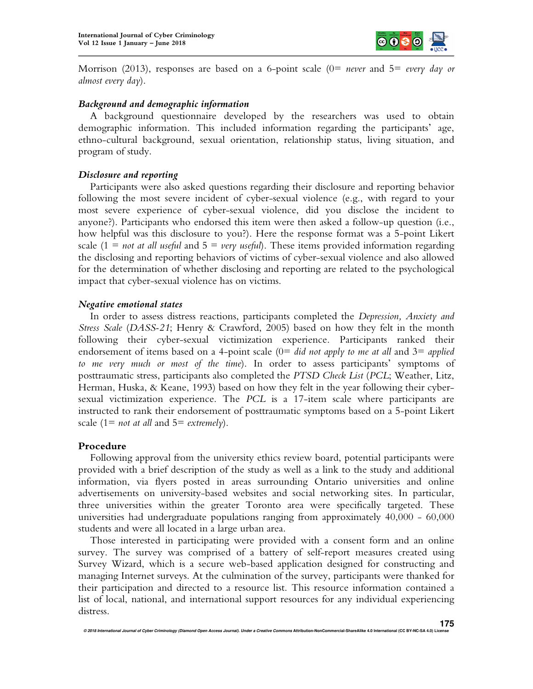

Morrison (2013), responses are based on a 6-point scale (0= *never* and 5= *every day or almost every day*).

## *Background and demographic information*

A background questionnaire developed by the researchers was used to obtain demographic information. This included information regarding the participants' age, ethno-cultural background, sexual orientation, relationship status, living situation, and program of study.

# *Disclosure and reporting*

Participants were also asked questions regarding their disclosure and reporting behavior following the most severe incident of cyber-sexual violence (e.g., with regard to your most severe experience of cyber-sexual violence, did you disclose the incident to anyone?). Participants who endorsed this item were then asked a follow-up question (i.e., how helpful was this disclosure to you?). Here the response format was a 5-point Likert scale  $(1 = not at all useful and 5 = very useful)$ . These items provided information regarding the disclosing and reporting behaviors of victims of cyber-sexual violence and also allowed for the determination of whether disclosing and reporting are related to the psychological impact that cyber-sexual violence has on victims.

# *Negative emotional states*

In order to assess distress reactions, participants completed the *Depression, Anxiety and Stress Scale* (*DASS-21*; Henry & Crawford, 2005) based on how they felt in the month following their cyber-sexual victimization experience. Participants ranked their endorsement of items based on a 4-point scale (0= *did not apply to me at all* and 3= *applied to me very much or most of the time*). In order to assess participants' symptoms of posttraumatic stress, participants also completed the *PTSD Check List* (*PCL*; Weather, Litz, Herman, Huska, & Keane, 1993) based on how they felt in the year following their cybersexual victimization experience. The *PCL* is a 17-item scale where participants are instructed to rank their endorsement of posttraumatic symptoms based on a 5-point Likert scale (1= *not at all* and 5= *extremely*).

## **Procedure**

Following approval from the university ethics review board, potential participants were provided with a brief description of the study as well as a link to the study and additional information, via flyers posted in areas surrounding Ontario universities and online advertisements on university-based websites and social networking sites. In particular, three universities within the greater Toronto area were specifically targeted. These universities had undergraduate populations ranging from approximately 40,000 - 60,000 students and were all located in a large urban area.

Those interested in participating were provided with a consent form and an online survey. The survey was comprised of a battery of self-report measures created using Survey Wizard, which is a secure web-based application designed for constructing and managing Internet surveys. At the culmination of the survey, participants were thanked for their participation and directed to a resource list. This resource information contained a list of local, national, and international support resources for any individual experiencing distress.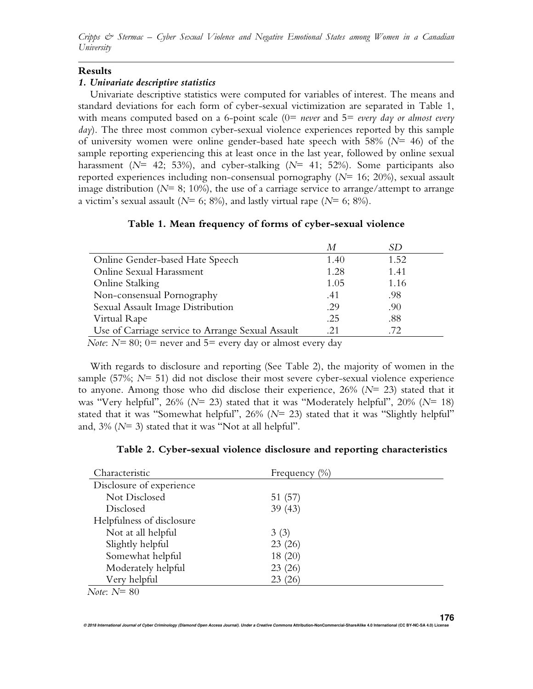#### **Results**

#### *1. Univariate descriptive statistics*

Univariate descriptive statistics were computed for variables of interest. The means and standard deviations for each form of cyber-sexual victimization are separated in Table 1, with means computed based on a 6-point scale (0= *never* and 5= *every day or almost every day*). The three most common cyber-sexual violence experiences reported by this sample of university women were online gender-based hate speech with 58% (*N*= 46) of the sample reporting experiencing this at least once in the last year, followed by online sexual harassment (*N*= 42; 53%), and cyber-stalking (*N*= 41; 52%). Some participants also reported experiences including non-consensual pornography (*N*= 16; 20%), sexual assault image distribution ( $N=8$ ; 10%), the use of a carriage service to arrange/attempt to arrange a victim's sexual assault (*N*= 6; 8%), and lastly virtual rape (*N*= 6; 8%).

#### **Table 1. Mean frequency of forms of cyber-sexual violence**

|                                                   | М    | SD   |  |  |  |
|---------------------------------------------------|------|------|--|--|--|
| Online Gender-based Hate Speech                   | 1.40 | 1.52 |  |  |  |
| Online Sexual Harassment                          | 1.28 | 1.41 |  |  |  |
| <b>Online Stalking</b>                            | 1.05 | 1.16 |  |  |  |
| Non-consensual Pornography                        | .41  | .98  |  |  |  |
| Sexual Assault Image Distribution                 | .29  | .90  |  |  |  |
| Virtual Rape                                      | .25  | .88  |  |  |  |
| Use of Carriage service to Arrange Sexual Assault | .21  | .72  |  |  |  |
| $N \sim N - 00 \quad 0 - 17 - 1$ 1 1              |      |      |  |  |  |

*Note*: *N*= 80; 0= never and 5= every day or almost every day

With regards to disclosure and reporting (See Table 2), the majority of women in the sample (57%; *N*= 51) did not disclose their most severe cyber-sexual violence experience to anyone. Among those who did disclose their experience,  $26\%$  ( $N=23$ ) stated that it was "Very helpful", 26% (*N*= 23) stated that it was "Moderately helpful", 20% (*N*= 18) stated that it was "Somewhat helpful", 26% (*N*= 23) stated that it was "Slightly helpful" and, 3% (*N*= 3) stated that it was "Not at all helpful".

|  |  |  | Table 2. Cyber-sexual violence disclosure and reporting characteristics |
|--|--|--|-------------------------------------------------------------------------|
|  |  |  |                                                                         |

| Characteristic                                                   | Frequency $(\%)$ |  |
|------------------------------------------------------------------|------------------|--|
| Disclosure of experience                                         |                  |  |
| Not Disclosed                                                    | 51 (57)          |  |
| Disclosed                                                        | 39(43)           |  |
| Helpfulness of disclosure                                        |                  |  |
| Not at all helpful                                               | 3(3)             |  |
| Slightly helpful                                                 | 23(26)           |  |
| Somewhat helpful                                                 | 18 (20)          |  |
| Moderately helpful                                               | 23(26)           |  |
| Very helpful                                                     | 23(26)           |  |
| $\mathbf{v}$ $\mathbf{v}$ $\mathbf{v}$ $\mathbf{v}$ $\mathbf{v}$ |                  |  |

 *Note*: *N*= 80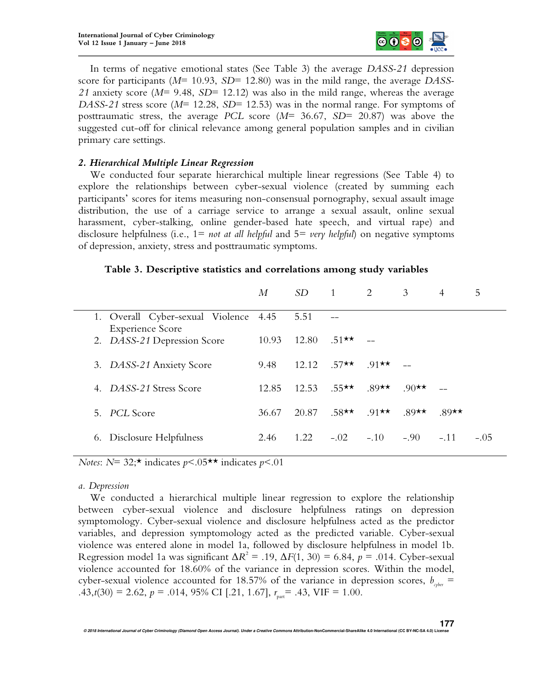

In terms of negative emotional states (See Table 3) the average *DASS-21* depression score for participants (*M*= 10.93, *SD*= 12.80) was in the mild range, the average *DASS-21* anxiety score (*M*= 9.48, *SD*= 12.12) was also in the mild range, whereas the average *DASS-21* stress score (*M*= 12.28, *SD*= 12.53) was in the normal range. For symptoms of posttraumatic stress, the average *PCL* score (*M*= 36.67, *SD*= 20.87) was above the suggested cut-off for clinical relevance among general population samples and in civilian primary care settings.

## *2. Hierarchical Multiple Linear Regression*

We conducted four separate hierarchical multiple linear regressions (See Table 4) to explore the relationships between cyber-sexual violence (created by summing each participants' scores for items measuring non-consensual pornography, sexual assault image distribution, the use of a carriage service to arrange a sexual assault, online sexual harassment, cyber-stalking, online gender-based hate speech, and virtual rape) and disclosure helpfulness (i.e., 1= *not at all helpful* and 5= *very helpful*) on negative symptoms of depression, anxiety, stress and posttraumatic symptoms.

## **Table 3. Descriptive statistics and correlations among study variables**

|                                                                  | М     |       | $SD \t1$    | $\overline{2}$ | 3                 | 4        | 5      |
|------------------------------------------------------------------|-------|-------|-------------|----------------|-------------------|----------|--------|
| 1. Overall Cyber-sexual Violence 4.45<br><b>Experience Score</b> |       | 5.51  |             |                |                   |          |        |
| 2. DASS-21 Depression Score                                      | 10.93 | 12.80 | $.51$ ** -- |                |                   |          |        |
| 3. DASS-21 Anxiety Score                                         | 9.48  | 12.12 | $.57$ **    | 91★★           |                   |          |        |
| 4. DASS-21 Stress Score                                          | 12.85 | 12.53 | $55$ **     | $.89$ **       | .90 <del>**</del> |          |        |
| 5. PCL Score                                                     | 36.67 | 20.87 | $.58$ **    | $.91$ **       | $.89$ **          | $.89$ ** |        |
| Disclosure Helpfulness<br>6.                                     | 2.46  | 1.22  | $-.02$      | $-.10$         | $-.90$            | $-.11$   | $-.05$ |

*Notes*: *N*= 32;\* indicates *p*<.05\*\* indicates *p*<.01

## *a. Depression*

We conducted a hierarchical multiple linear regression to explore the relationship between cyber-sexual violence and disclosure helpfulness ratings on depression symptomology. Cyber-sexual violence and disclosure helpfulness acted as the predictor variables, and depression symptomology acted as the predicted variable. Cyber-sexual violence was entered alone in model 1a, followed by disclosure helpfulness in model 1b. Regression model 1a was significant  $\Delta R^2 = .19$ ,  $\Delta F(1, 30) = 6.84$ ,  $p = .014$ . Cyber-sexual violence accounted for 18.60% of the variance in depression scores. Within the model, cyber-sexual violence accounted for 18.57% of the variance in depression scores,  $b_{\text{other}}$  = .43, $t(30) = 2.62$ ,  $p = .014$ , 95% CI [.21, 1.67],  $r_{part} = .43$ , VIF = 1.00.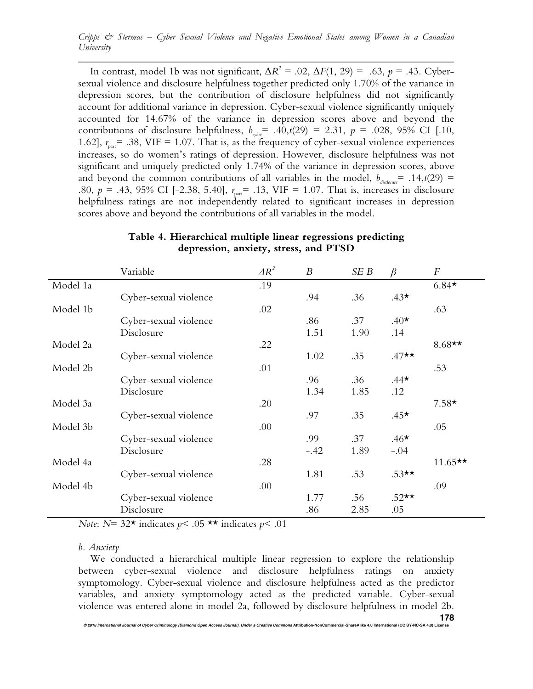In contrast, model 1b was not significant,  $\Delta R^2 = .02$ ,  $\Delta F(1, 29) = .63$ ,  $p = .43$ . Cybersexual violence and disclosure helpfulness together predicted only 1.70% of the variance in depression scores, but the contribution of disclosure helpfulness did not significantly account for additional variance in depression. Cyber-sexual violence significantly uniquely accounted for 14.67% of the variance in depression scores above and beyond the contributions of disclosure helpfulness,  $b_{\varphi_{\text{per}}}$  = .40, $t(29)$  = 2.31,  $p$  = .028, 95% CI [.10, 1.62],  $r_{\text{part}}$  = .38, VIF = 1.07. That is, as the frequency of cyber-sexual violence experiences increases, so do women's ratings of depression. However, disclosure helpfulness was not significant and uniquely predicted only 1.74% of the variance in depression scores, above and beyond the common contributions of all variables in the model,  $b_{\text{disclower}} = .14, t(29) =$ .80,  $p = .43$ , 95% CI [-2.38, 5.40],  $r_{part} = .13$ , VIF = 1.07. That is, increases in disclosure helpfulness ratings are not independently related to significant increases in depression scores above and beyond the contributions of all variables in the model.

|          | Variable              | $\Delta R^2$ | $\boldsymbol{B}$ | SE B | $\beta$ | $\boldsymbol{F}$ |
|----------|-----------------------|--------------|------------------|------|---------|------------------|
| Model 1a |                       | .19          |                  |      |         | $6.84*$          |
|          | Cyber-sexual violence |              | .94              | .36  | $.43*$  |                  |
| Model 1b |                       | .02          |                  |      |         | .63              |
|          | Cyber-sexual violence |              | .86              | .37  | $.40*$  |                  |
|          | Disclosure            |              | 1.51             | 1.90 | .14     |                  |
| Model 2a |                       | .22          |                  |      |         | $8.68**$         |
|          | Cyber-sexual violence |              | 1.02             | .35  | $.47**$ |                  |
| Model 2b |                       | .01          |                  |      |         | .53              |
|          | Cyber-sexual violence |              | .96              | .36  | $.44*$  |                  |
|          | Disclosure            |              | 1.34             | 1.85 | .12     |                  |
| Model 3a |                       | .20          |                  |      |         | $7.58*$          |
|          | Cyber-sexual violence |              | .97              | .35  | $.45*$  |                  |
| Model 3b |                       | .00          |                  |      |         | .05              |
|          | Cyber-sexual violence |              | .99              | .37  | $.46*$  |                  |
|          | Disclosure            |              | $-.42$           | 1.89 | $-.04$  |                  |
| Model 4a |                       | .28          |                  |      |         | $11.65**$        |
|          | Cyber-sexual violence |              | 1.81             | .53  | $.53**$ |                  |
| Model 4b |                       | .00          |                  |      |         | .09              |
|          | Cyber-sexual violence |              | 1.77             | .56  | $.52**$ |                  |
|          | Disclosure            |              | .86              | 2.85 | .05     |                  |

## **Table 4. Hierarchical multiple linear regressions predicting depression, anxiety, stress, and PTSD**

*Note*:  $N=32*$  indicates  $p< .05**$  indicates  $p< .01$ 

#### *b. Anxiety*

We conducted a hierarchical multiple linear regression to explore the relationship between cyber-sexual violence and disclosure helpfulness ratings on anxiety symptomology. Cyber-sexual violence and disclosure helpfulness acted as the predictor variables, and anxiety symptomology acted as the predicted variable. Cyber-sexual violence was entered alone in model 2a, followed by disclosure helpfulness in model 2b.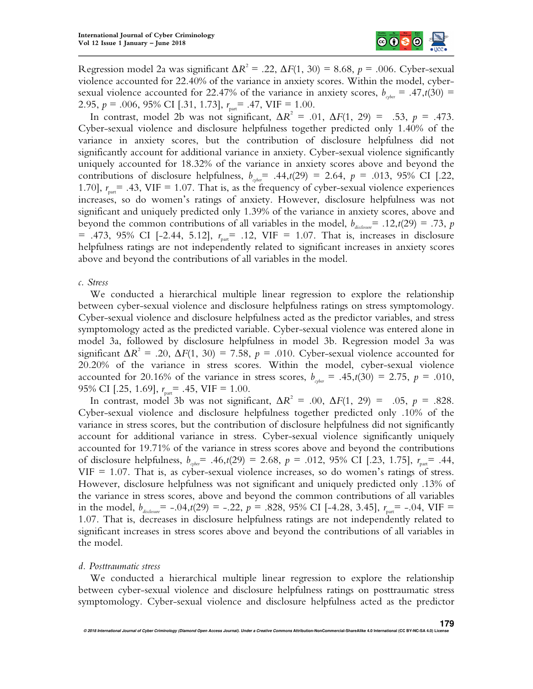

Regression model 2a was significant  $\Delta R^2 = .22$ ,  $\Delta F(1, 30) = 8.68$ ,  $p = .006$ . Cyber-sexual violence accounted for 22.40% of the variance in anxiety scores. Within the model, cybersexual violence accounted for 22.47% of the variance in anxiety scores,  $b_{\text{other}} = .47, t(30) =$ 2.95, *p* = .006, 95% CI [.31, 1.73],  $r_{\text{part}}$  = .47, VIF = 1.00.

In contrast, model 2b was not significant,  $\Delta R^2 = .01$ ,  $\Delta F(1, 29) = .53$ ,  $p = .473$ . Cyber-sexual violence and disclosure helpfulness together predicted only 1.40% of the variance in anxiety scores, but the contribution of disclosure helpfulness did not significantly account for additional variance in anxiety. Cyber-sexual violence significantly uniquely accounted for 18.32% of the variance in anxiety scores above and beyond the contributions of disclosure helpfulness,  $b_{\varphi_{\text{per}}}$  = .44,*t*(29) = 2.64, *p* = .013, 95% CI [.22, 1.70],  $r_{\text{part}}$  = .43, VIF = 1.07. That is, as the frequency of cyber-sexual violence experiences increases, so do women's ratings of anxiety. However, disclosure helpfulness was not significant and uniquely predicted only 1.39% of the variance in anxiety scores, above and beyond the common contributions of all variables in the model,  $b_{\text{disclosure}} = .12, t(29) = .73, p$ = .473, 95% CI [-2.44, 5.12],  $r_{part}$  = .12, VIF = 1.07. That is, increases in disclosure helpfulness ratings are not independently related to significant increases in anxiety scores above and beyond the contributions of all variables in the model.

#### *c. Stress*

We conducted a hierarchical multiple linear regression to explore the relationship between cyber-sexual violence and disclosure helpfulness ratings on stress symptomology. Cyber-sexual violence and disclosure helpfulness acted as the predictor variables, and stress symptomology acted as the predicted variable. Cyber-sexual violence was entered alone in model 3a, followed by disclosure helpfulness in model 3b. Regression model 3a was significant  $\Delta R^2 = .20$ ,  $\Delta F(1, 30) = 7.58$ ,  $p = .010$ . Cyber-sexual violence accounted for 20.20% of the variance in stress scores. Within the model, cyber-sexual violence accounted for 20.16% of the variance in stress scores,  $b_{c_{\text{other}}} = .45, t(30) = 2.75$ ,  $p = .010$ , 95% CI [.25, 1.69],  $r_{\text{part}}$  = .45, VIF = 1.00.

In contrast, model 3b was not significant,  $\Delta R^2 = .00$ ,  $\Delta F(1, 29) = .05$ ,  $p = .828$ . Cyber-sexual violence and disclosure helpfulness together predicted only .10% of the variance in stress scores, but the contribution of disclosure helpfulness did not significantly account for additional variance in stress. Cyber-sexual violence significantly uniquely accounted for 19.71% of the variance in stress scores above and beyond the contributions of disclosure helpfulness,  $b_{cyc} = .46, t(29) = 2.68$ ,  $p = .012, 95\%$  CI [.23, 1.75],  $r_{part} = .44$ ,  $VIF = 1.07$ . That is, as cyber-sexual violence increases, so do women's ratings of stress. However, disclosure helpfulness was not significant and uniquely predicted only .13% of the variance in stress scores, above and beyond the common contributions of all variables in the model,  $b_{\text{disclosure}} = -.04, t(29) = -.22, p = .828, 95\% \text{ CI}$  [-4.28, 3.45],  $r_{\text{part}} = -.04, \text{ VIF} =$ 1.07. That is, decreases in disclosure helpfulness ratings are not independently related to significant increases in stress scores above and beyond the contributions of all variables in the model.

#### *d. Posttraumatic stress*

We conducted a hierarchical multiple linear regression to explore the relationship between cyber-sexual violence and disclosure helpfulness ratings on posttraumatic stress symptomology. Cyber-sexual violence and disclosure helpfulness acted as the predictor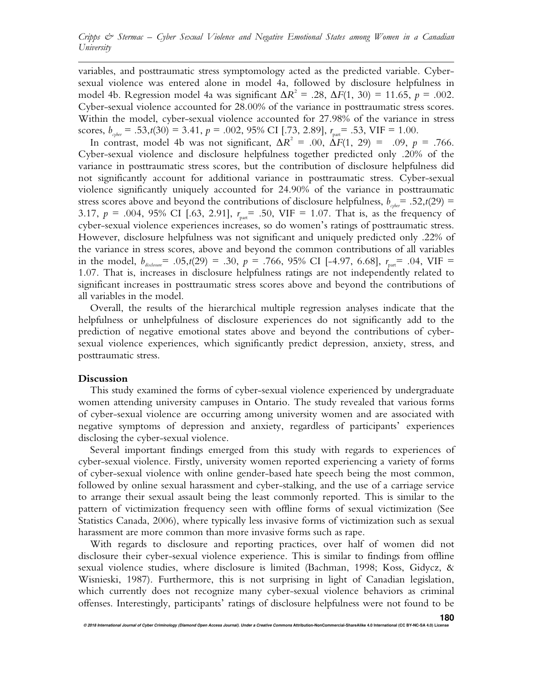variables, and posttraumatic stress symptomology acted as the predicted variable. Cybersexual violence was entered alone in model 4a, followed by disclosure helpfulness in model 4b. Regression model 4a was significant  $\Delta R^2$  = .28,  $\Delta F(1, 30)$  = 11.65, *p* = .002. Cyber-sexual violence accounted for 28.00% of the variance in posttraumatic stress scores. Within the model, cyber-sexual violence accounted for 27.98% of the variance in stress scores,  $b_{\text{cycle}} = .53, t(30) = 3.41, p = .002, 95\% \text{ CI}$  [.73, 2.89],  $r_{\text{part}} = .53, \text{VIF} = 1.00$ .

In contrast, model 4b was not significant,  $\Delta R^2 = .00$ ,  $\Delta F(1, 29) = .09$ ,  $p = .766$ . Cyber-sexual violence and disclosure helpfulness together predicted only .20% of the variance in posttraumatic stress scores, but the contribution of disclosure helpfulness did not significantly account for additional variance in posttraumatic stress. Cyber-sexual violence significantly uniquely accounted for 24.90% of the variance in posttraumatic stress scores above and beyond the contributions of disclosure helpfulness,  $b_{\text{other}} = .52, t(29) =$ 3.17,  $p = .004$ , 95% CI [.63, 2.91],  $r_{part} = .50$ , VIF = 1.07. That is, as the frequency of cyber-sexual violence experiences increases, so do women's ratings of posttraumatic stress. However, disclosure helpfulness was not significant and uniquely predicted only .22% of the variance in stress scores, above and beyond the common contributions of all variables in the model,  $b_{disloseure} = .05, t(29) = .30, p = .766, 95\% \text{ CI}$  [-4.97, 6.68],  $r_{part} = .04, \text{ VIF} =$ 1.07. That is, increases in disclosure helpfulness ratings are not independently related to significant increases in posttraumatic stress scores above and beyond the contributions of all variables in the model.

Overall, the results of the hierarchical multiple regression analyses indicate that the helpfulness or unhelpfulness of disclosure experiences do not significantly add to the prediction of negative emotional states above and beyond the contributions of cybersexual violence experiences, which significantly predict depression, anxiety, stress, and posttraumatic stress.

#### **Discussion**

This study examined the forms of cyber-sexual violence experienced by undergraduate women attending university campuses in Ontario. The study revealed that various forms of cyber-sexual violence are occurring among university women and are associated with negative symptoms of depression and anxiety, regardless of participants' experiences disclosing the cyber-sexual violence.

Several important findings emerged from this study with regards to experiences of cyber-sexual violence. Firstly, university women reported experiencing a variety of forms of cyber-sexual violence with online gender-based hate speech being the most common, followed by online sexual harassment and cyber-stalking, and the use of a carriage service to arrange their sexual assault being the least commonly reported. This is similar to the pattern of victimization frequency seen with offline forms of sexual victimization (See Statistics Canada, 2006), where typically less invasive forms of victimization such as sexual harassment are more common than more invasive forms such as rape.

With regards to disclosure and reporting practices, over half of women did not disclosure their cyber-sexual violence experience. This is similar to findings from offline sexual violence studies, where disclosure is limited (Bachman, 1998; Koss, Gidycz, & Wisnieski, 1987). Furthermore, this is not surprising in light of Canadian legislation, which currently does not recognize many cyber-sexual violence behaviors as criminal offenses. Interestingly, participants' ratings of disclosure helpfulness were not found to be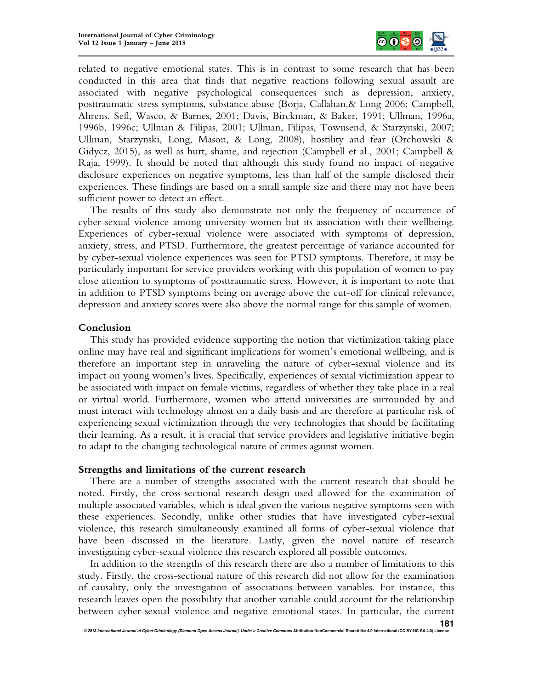

related to negative emotional states. This is in contrast to some research that has been conducted in this area that finds that negative reactions following sexual assault are associated with negative psychological consequences such as depression, anxiety, posttraumatic stress symptoms, substance abuse (Borja, Callahan,& Long 2006; Campbell, Ahrens, Sefl, Wasco, & Barnes, 2001; Davis, Birckman, & Baker, 1991; Ullman, 1996a, 1996b, 1996c; Ullman & Filipas, 2001; Ullman, Filipas, Townsend, & Starzynski, 2007; Ullman, Starzynski, Long, Mason, & Long, 2008), hostility and fear (Orchowski & Gidycz, 2015), as well as hurt, shame, and rejection (Campbell et al., 2001; Campbell & Raja, 1999). It should be noted that although this study found no impact of negative disclosure experiences on negative symptoms, less than half of the sample disclosed their experiences. These findings are based on a small sample size and there may not have been sufficient power to detect an effect.

The results of this study also demonstrate not only the frequency of occurrence of cyber-sexual violence among university women but its association with their wellbeing. Experiences of cyber-sexual violence were associated with symptoms of depression, anxiety, stress, and PTSD. Furthermore, the greatest percentage of variance accounted for by cyber-sexual violence experiences was seen for PTSD symptoms. Therefore, it may be particularly important for service providers working with this population of women to pay close attention to symptoms of posttraumatic stress. However, it is important to note that in addition to PTSD symptoms being on average above the cut-off for clinical relevance, depression and anxiety scores were also above the normal range for this sample of women.

## **Conclusion**

This study has provided evidence supporting the notion that victimization taking place online may have real and significant implications for women's emotional wellbeing, and is therefore an important step in unraveling the nature of cyber-sexual violence and its impact on young women's lives. Specifically, experiences of sexual victimization appear to be associated with impact on female victims, regardless of whether they take place in a real or virtual world. Furthermore, women who attend universities are surrounded by and must interact with technology almost on a daily basis and are therefore at particular risk of experiencing sexual victimization through the very technologies that should be facilitating their learning. As a result, it is crucial that service providers and legislative initiative begin to adapt to the changing technological nature of crimes against women.

#### **Strengths and limitations of the current research**

There are a number of strengths associated with the current research that should be noted. Firstly, the cross-sectional research design used allowed for the examination of multiple associated variables, which is ideal given the various negative symptoms seen with these experiences. Secondly, unlike other studies that have investigated cyber-sexual violence, this research simultaneously examined all forms of cyber-sexual violence that have been discussed in the literature. Lastly, given the novel nature of research investigating cyber-sexual violence this research explored all possible outcomes.

In addition to the strengths of this research there are also a number of limitations to this study. Firstly, the cross-sectional nature of this research did not allow for the examination of causality, only the investigation of associations between variables. For instance, this research leaves open the possibility that another variable could account for the relationship between cyber-sexual violence and negative emotional states. In particular, the current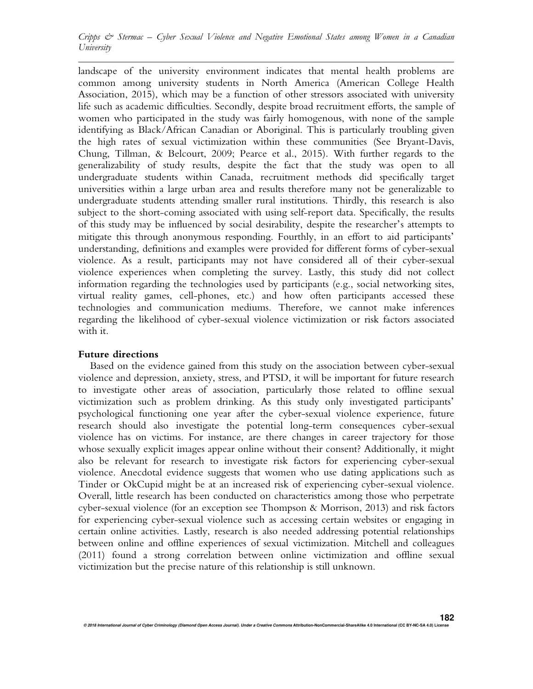landscape of the university environment indicates that mental health problems are common among university students in North America (American College Health Association, 2015), which may be a function of other stressors associated with university life such as academic difficulties. Secondly, despite broad recruitment efforts, the sample of women who participated in the study was fairly homogenous, with none of the sample identifying as Black/African Canadian or Aboriginal. This is particularly troubling given the high rates of sexual victimization within these communities (See Bryant-Davis, Chung, Tillman, & Belcourt, 2009; Pearce et al., 2015). With further regards to the generalizability of study results, despite the fact that the study was open to all undergraduate students within Canada, recruitment methods did specifically target universities within a large urban area and results therefore many not be generalizable to undergraduate students attending smaller rural institutions. Thirdly, this research is also subject to the short-coming associated with using self-report data. Specifically, the results of this study may be influenced by social desirability, despite the researcher's attempts to mitigate this through anonymous responding. Fourthly, in an effort to aid participants' understanding, definitions and examples were provided for different forms of cyber-sexual violence. As a result, participants may not have considered all of their cyber-sexual violence experiences when completing the survey. Lastly, this study did not collect information regarding the technologies used by participants (e.g., social networking sites, virtual reality games, cell-phones, etc.) and how often participants accessed these technologies and communication mediums. Therefore, we cannot make inferences regarding the likelihood of cyber-sexual violence victimization or risk factors associated with it.

## **Future directions**

Based on the evidence gained from this study on the association between cyber-sexual violence and depression, anxiety, stress, and PTSD, it will be important for future research to investigate other areas of association, particularly those related to offline sexual victimization such as problem drinking. As this study only investigated participants' psychological functioning one year after the cyber-sexual violence experience, future research should also investigate the potential long-term consequences cyber-sexual violence has on victims. For instance, are there changes in career trajectory for those whose sexually explicit images appear online without their consent? Additionally, it might also be relevant for research to investigate risk factors for experiencing cyber-sexual violence. Anecdotal evidence suggests that women who use dating applications such as Tinder or OkCupid might be at an increased risk of experiencing cyber-sexual violence. Overall, little research has been conducted on characteristics among those who perpetrate cyber-sexual violence (for an exception see Thompson & Morrison, 2013) and risk factors for experiencing cyber-sexual violence such as accessing certain websites or engaging in certain online activities. Lastly, research is also needed addressing potential relationships between online and offline experiences of sexual victimization. Mitchell and colleagues (2011) found a strong correlation between online victimization and offline sexual victimization but the precise nature of this relationship is still unknown.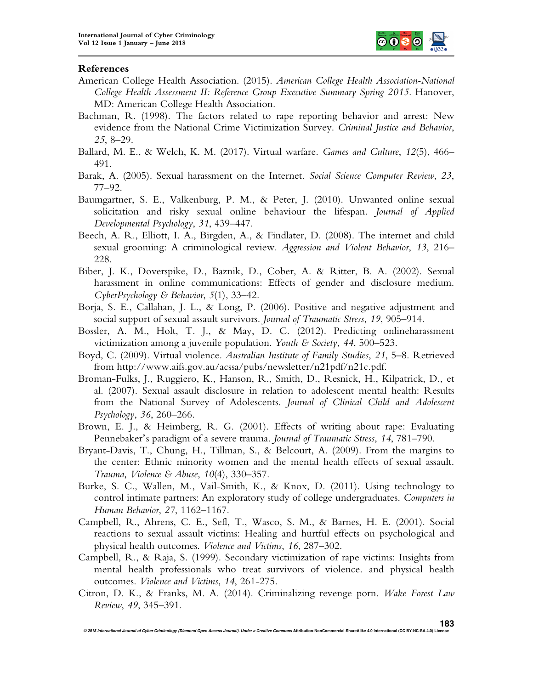

## **References**

- American College Health Association. (2015). *American College Health Association-National College Health Assessment II: Reference Group Executive Summary Spring 2015*. Hanover, MD: American College Health Association.
- Bachman, R. (1998). The factors related to rape reporting behavior and arrest: New evidence from the National Crime Victimization Survey. *Criminal Justice and Behavior*, *25*, 8–29.
- Ballard, M. E., & Welch, K. M. (2017). Virtual warfare. *Games and Culture*, *12*(5), 466– 491.
- Barak, A. (2005). Sexual harassment on the Internet. *Social Science Computer Review*, *23*, 77–92.
- Baumgartner, S. E., Valkenburg, P. M., & Peter, J. (2010). Unwanted online sexual solicitation and risky sexual online behaviour the lifespan. *Journal of Applied Developmental Psychology*, *31*, 439–447.
- Beech, A. R., Elliott, I. A., Birgden, A., & Findlater, D. (2008). The internet and child sexual grooming: A criminological review. *Aggression and Violent Behavior*, *13*, 216– 228.
- Biber, J. K., Doverspike, D., Baznik, D., Cober, A. & Ritter, B. A. (2002). Sexual harassment in online communications: Effects of gender and disclosure medium. *CyberPsychology & Behavior*, *5*(1), 33–42.
- Borja, S. E., Callahan, J. L., & Long, P. (2006). Positive and negative adjustment and social support of sexual assault survivors. *Journal of Traumatic Stress*, *19*, 905–914.
- Bossler, A. M., Holt, T. J., & May, D. C. (2012). Predicting onlineharassment victimization among a juvenile population. *Youth & Society*, *44*, 500–523.
- Boyd, C. (2009). Virtual violence. *Australian Institute of Family Studies*, *21*, 5–8. Retrieved from http://www.aifs.gov.au/acssa/pubs/newsletter/n21pdf/n21c.pdf.
- Broman-Fulks, J., Ruggiero, K., Hanson, R., Smith, D., Resnick, H., Kilpatrick, D., et al. (2007). Sexual assault disclosure in relation to adolescent mental health: Results from the National Survey of Adolescents. *Journal of Clinical Child and Adolescent Psychology*, *36*, 260–266.
- Brown, E. J., & Heimberg, R. G. (2001). Effects of writing about rape: Evaluating Pennebaker's paradigm of a severe trauma. *Journal of Traumatic Stress*, *14*, 781–790.
- Bryant-Davis, T., Chung, H., Tillman, S., & Belcourt, A. (2009). From the margins to the center: Ethnic minority women and the mental health effects of sexual assault. *Trauma, Violence & Abuse*, *10*(4), 330–357.
- Burke, S. C., Wallen, M., Vail-Smith, K., & Knox, D. (2011). Using technology to control intimate partners: An exploratory study of college undergraduates. *Computers in Human Behavior*, *27*, 1162–1167.
- Campbell, R., Ahrens, C. E., Sefl, T., Wasco, S. M., & Barnes, H. E. (2001). Social reactions to sexual assault victims: Healing and hurtful effects on psychological and physical health outcomes. *Violence and Victims*, *16*, 287–302.
- Campbell, R., & Raja, S. (1999). Secondary victimization of rape victims: Insights from mental health professionals who treat survivors of violence. and physical health outcomes. *Violence and Victims*, *14*, 261-275.
- Citron, D. K., & Franks, M. A. (2014). Criminalizing revenge porn. *Wake Forest Law Review*, *49*, 345–391.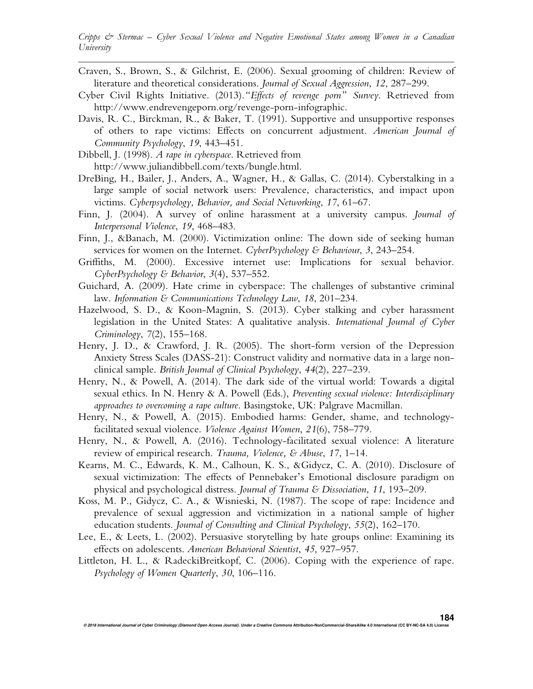- Craven, S., Brown, S., & Gilchrist, E. (2006). Sexual grooming of children: Review of literature and theoretical considerations. *Journal of Sexual Aggression*, *12*, 287–299.
- Cyber Civil Rights Initiative. (2013).*"Effects of revenge porn" Survey*. Retrieved from http://www.endrevengeporn.org/revenge-porn-infographic.
- Davis, R. C., Birckman, R., & Baker, T. (1991). Supportive and unsupportive responses of others to rape victims: Effects on concurrent adjustment. *American Journal of Community Psychology*, *19*, 443–451.
- Dibbell, J. (1998). *A rape in cyberspace*. Retrieved from http://www.juliandibbell.com/texts/bungle.html.
- DreBing, H., Bailer, J., Anders, A., Wagner, H., & Gallas, C. (2014). Cyberstalking in a large sample of social network users: Prevalence, characteristics, and impact upon victims. *Cyberpsychology, Behavior, and Social Networking*, *17*, 61–67.
- Finn, J. (2004). A survey of online harassment at a university campus. *Journal of Interpersonal Violence*, *19*, 468–483.
- Finn, J., &Banach, M. (2000). Victimization online: The down side of seeking human services for women on the Internet. *CyberPsychology & Behaviour*, *3*, 243–254.
- Griffiths, M. (2000). Excessive internet use: Implications for sexual behavior. *CyberPsychology & Behavior*, *3*(4), 537–552.
- Guichard, A. (2009). Hate crime in cyberspace: The challenges of substantive criminal law. *Information & Communications Technology Law*, *18*, 201–234.
- Hazelwood, S. D., & Koon-Magnin, S. (2013). Cyber stalking and cyber harassment legislation in the United States: A qualitative analysis. *International Journal of Cyber Criminology*, *7*(2), 155–168.
- Henry, J. D., & Crawford, J. R. (2005). The short-form version of the Depression Anxiety Stress Scales (DASS-21): Construct validity and normative data in a large nonclinical sample. *British Journal of Clinical Psychology*, *44*(2), 227–239.
- Henry, N., & Powell, A. (2014). The dark side of the virtual world: Towards a digital sexual ethics. In N. Henry & A. Powell (Eds.), *Preventing sexual violence: Interdisciplinary approaches to overcoming a rape culture*. Basingstoke, UK: Palgrave Macmillan.
- Henry, N., & Powell, A. (2015). Embodied harms: Gender, shame, and technologyfacilitated sexual violence. *Violence Against Women*, *21*(6), 758–779.
- Henry, N., & Powell, A. (2016). Technology-facilitated sexual violence: A literature review of empirical research. *Trauma, Violence, & Abuse*, *17*, 1–14.
- Kearns, M. C., Edwards, K. M., Calhoun, K. S., &Gidycz, C. A. (2010). Disclosure of sexual victimization: The effects of Pennebaker's Emotional disclosure paradigm on physical and psychological distress. *Journal of Trauma & Dissociation*, *11*, 193–209.
- Koss, M. P., Gidycz, C. A., & Wisnieski, N. (1987). The scope of rape: Incidence and prevalence of sexual aggression and victimization in a national sample of higher education students. *Journal of Consulting and Clinical Psychology*, *55*(2), 162–170.
- Lee, E., & Leets, L. (2002). Persuasive storytelling by hate groups online: Examining its effects on adolescents. *American Behavioral Scientist*, *45*, 927–957.
- Littleton, H. L., & RadeckiBreitkopf, C. (2006). Coping with the experience of rape. *Psychology of Women Quarterly*, *30*, 106–116.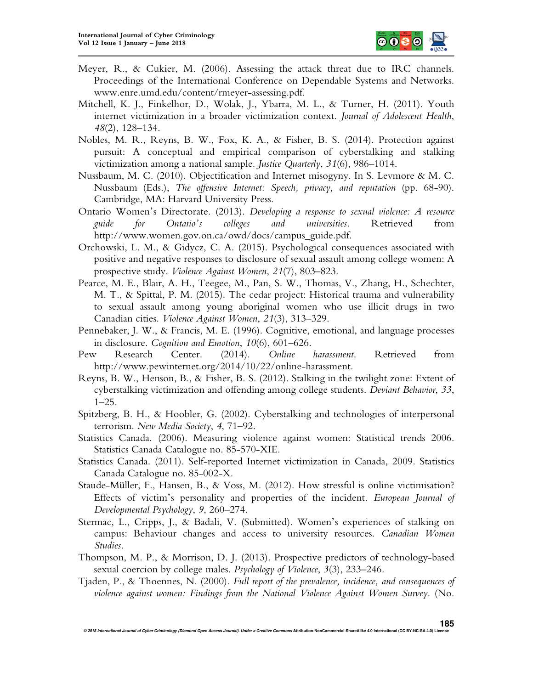

- Meyer, R., & Cukier, M. (2006). Assessing the attack threat due to IRC channels. Proceedings of the International Conference on Dependable Systems and Networks. www.enre.umd.edu/content/rmeyer-assessing.pdf.
- Mitchell, K. J., Finkelhor, D., Wolak, J., Ybarra, M. L., & Turner, H. (2011). Youth internet victimization in a broader victimization context. *Journal of Adolescent Health*, *48*(2), 128–134.
- Nobles, M. R., Reyns, B. W., Fox, K. A., & Fisher, B. S. (2014). Protection against pursuit: A conceptual and empirical comparison of cyberstalking and stalking victimization among a national sample. *Justice Quarterly*, *31*(6), 986–1014.
- Nussbaum, M. C. (2010). Objectification and Internet misogyny. In S. Levmore & M. C. Nussbaum (Eds.), *The offensive Internet: Speech, privacy, and reputation* (pp. 68-90). Cambridge, MA: Harvard University Press.
- Ontario Women's Directorate. (2013). *Developing a response to sexual violence: A resource guide for Ontario's colleges and universities*. Retrieved from http://www.women.gov.on.ca/owd/docs/campus\_guide.pdf.
- Orchowski, L. M., & Gidycz, C. A. (2015). Psychological consequences associated with positive and negative responses to disclosure of sexual assault among college women: A prospective study. *Violence Against Women*, *21*(7), 803–823.
- Pearce, M. E., Blair, A. H., Teegee, M., Pan, S. W., Thomas, V., Zhang, H., Schechter, M. T., & Spittal, P. M. (2015). The cedar project: Historical trauma and vulnerability to sexual assault among young aboriginal women who use illicit drugs in two Canadian cities. *Violence Against Women*, *21*(3), 313–329.
- Pennebaker, J. W., & Francis, M. E. (1996). Cognitive, emotional, and language processes in disclosure. *Cognition and Emotion*, *10*(6), 601–626.
- Pew Research Center. (2014). *Online harassment*. Retrieved from http://www.pewinternet.org/2014/10/22/online-harassment.
- Reyns, B. W., Henson, B., & Fisher, B. S. (2012). Stalking in the twilight zone: Extent of cyberstalking victimization and offending among college students. *Deviant Behavior*, *33*,  $1-25.$
- Spitzberg, B. H., & Hoobler, G. (2002). Cyberstalking and technologies of interpersonal terrorism. *New Media Society*, *4*, 71–92.
- Statistics Canada. (2006). Measuring violence against women: Statistical trends 2006. Statistics Canada Catalogue no. 85-570-XIE.
- Statistics Canada. (2011). Self-reported Internet victimization in Canada, 2009. Statistics Canada Catalogue no. 85-002-X.
- Staude-Müller, F., Hansen, B., & Voss, M. (2012). How stressful is online victimisation? Effects of victim's personality and properties of the incident. *European Journal of Developmental Psychology*, *9*, 260–274.
- Stermac, L., Cripps, J., & Badali, V. (Submitted). Women's experiences of stalking on campus: Behaviour changes and access to university resources. *Canadian Women Studies*.
- Thompson, M. P., & Morrison, D. J. (2013). Prospective predictors of technology-based sexual coercion by college males. *Psychology of Violence*, *3*(3), 233–246.
- Tjaden, P., & Thoennes, N. (2000). *Full report of the prevalence, incidence, and consequences of violence against women: Findings from the National Violence Against Women Survey*. (No.